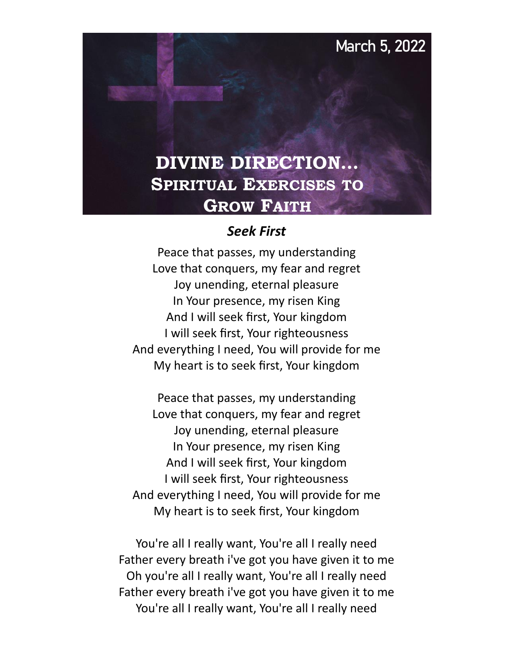# **March 5, 2022**

# **DIVINE DIRECTION… SPIRITUAL EXERCISES TO GROW FAITH**

#### *Seek First*

Peace that passes, my understanding Love that conquers, my fear and regret Joy unending, eternal pleasure In Your presence, my risen King And I will seek first, Your kingdom I will seek first, Your righteousness And everything I need, You will provide for me My heart is to seek first, Your kingdom

Peace that passes, my understanding Love that conquers, my fear and regret Joy unending, eternal pleasure In Your presence, my risen King And I will seek first, Your kingdom I will seek first, Your righteousness And everything I need, You will provide for me My heart is to seek first, Your kingdom

You're all I really want, You're all I really need Father every breath i've got you have given it to me Oh you're all I really want, You're all I really need Father every breath i've got you have given it to me You're all I really want, You're all I really need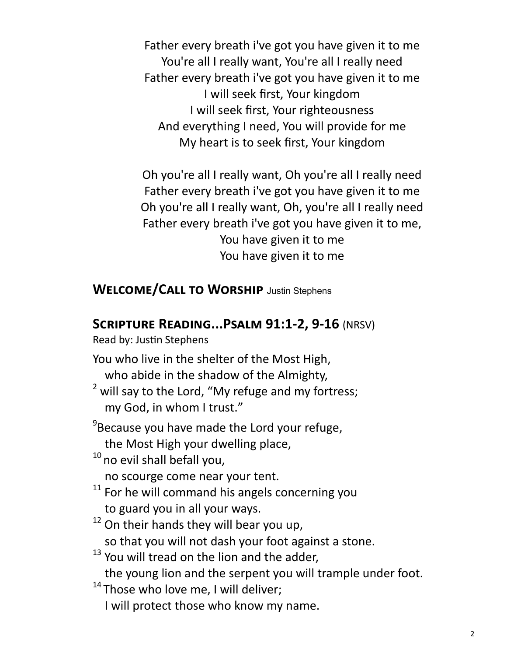Father every breath i've got you have given it to me You're all I really want, You're all I really need Father every breath i've got you have given it to me I will seek first, Your kingdom I will seek first, Your righteousness And everything I need, You will provide for me My heart is to seek first, Your kingdom

Oh you're all I really want, Oh you're all I really need Father every breath i've got you have given it to me Oh you're all I really want, Oh, you're all I really need Father every breath i've got you have given it to me, You have given it to me You have given it to me

**Welcome/Call to Worship** Justin Stephens

## **Scripture Reading...Psalm 91:1-2, 9-16** (NRSV)

Read by: Justin Stephens

You who live in the shelter of the Most High, who abide in the shadow of the Almighty,

 $2$  will say to the Lord, "My refuge and my fortress; my God, in whom I trust."

<sup>9</sup>Because you have made the Lord your refuge,

the Most High your dwelling place,

<sup>10</sup> no evil shall befall you,

no scourge come near your tent.

- $11$  For he will command his angels concerning you to guard you in all your ways.
- $12$  On their hands they will bear you up, so that you will not dash your foot against a stone.
- <sup>13</sup> You will tread on the lion and the adder,

the young lion and the serpent you will trample under foot.

 $14$  Those who love me, I will deliver;

I will protect those who know my name.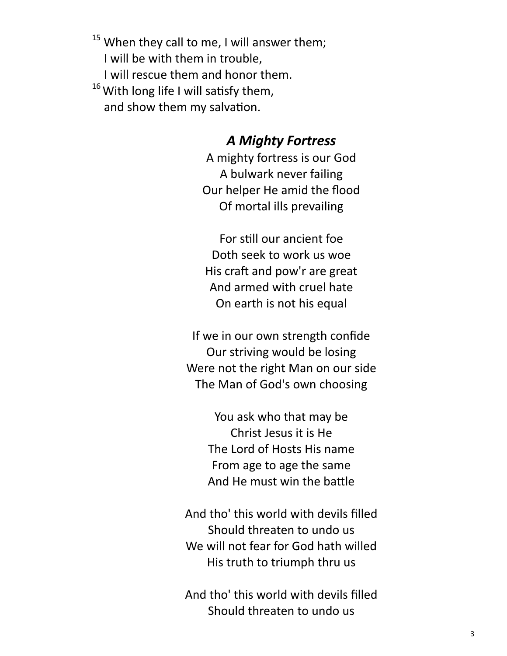$15$  When they call to me, I will answer them; I will be with them in trouble, I will rescue them and honor them.  $16$  With long life I will satisfy them, and show them my salvation.

#### *A Mighty Fortress*

A mighty fortress is our God A bulwark never failing Our helper He amid the flood Of mortal ills prevailing

For still our ancient foe Doth seek to work us woe His craft and pow'r are great And armed with cruel hate On earth is not his equal

If we in our own strength confide Our striving would be losing Were not the right Man on our side The Man of God's own choosing

> You ask who that may be Christ Jesus it is He The Lord of Hosts His name From age to age the same And He must win the battle

And tho' this world with devils filled Should threaten to undo us We will not fear for God hath willed His truth to triumph thru us

And tho' this world with devils filled Should threaten to undo us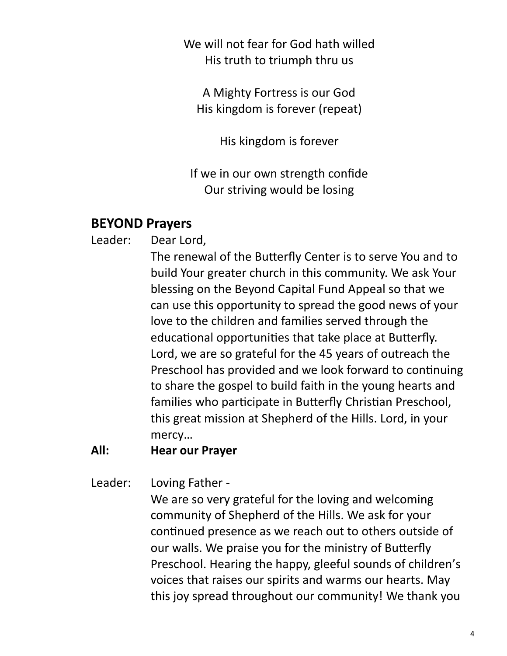We will not fear for God hath willed His truth to triumph thru us

A Mighty Fortress is our God His kingdom is forever (repeat)

His kingdom is forever

If we in our own strength confide Our striving would be losing

### **BEYOND Prayers**

Leader: Dear Lord,

The renewal of the Butterfly Center is to serve You and to build Your greater church in this community. We ask Your blessing on the Beyond Capital Fund Appeal so that we can use this opportunity to spread the good news of your love to the children and families served through the educational opportunities that take place at Butterfly. Lord, we are so grateful for the 45 years of outreach the Preschool has provided and we look forward to continuing to share the gospel to build faith in the young hearts and families who participate in Butterfly Christian Preschool, this great mission at Shepherd of the Hills. Lord, in your mercy…

#### **All: Hear our Prayer**

Leader: Loving Father -

We are so very grateful for the loving and welcoming community of Shepherd of the Hills. We ask for your continued presence as we reach out to others outside of our walls. We praise you for the ministry of Butterfly Preschool. Hearing the happy, gleeful sounds of children's voices that raises our spirits and warms our hearts. May this joy spread throughout our community! We thank you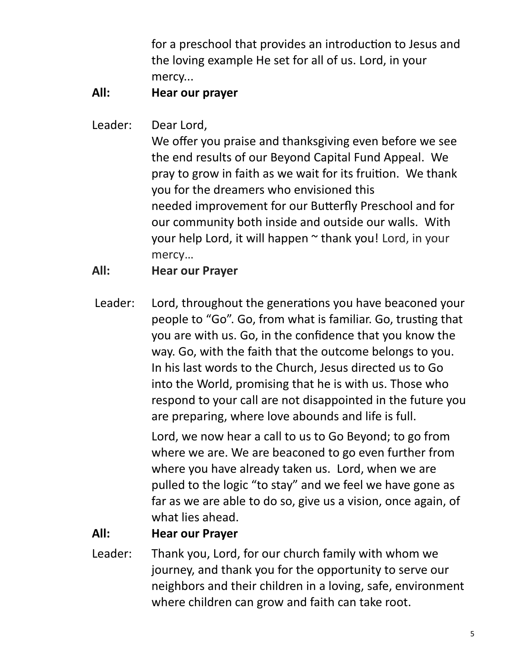for a preschool that provides an introduction to Jesus and the loving example He set for all of us. Lord, in your mercy...

#### **All: Hear our prayer**

Leader: Dear Lord,

We offer you praise and thanksgiving even before we see the end results of our Beyond Capital Fund Appeal. We pray to grow in faith as we wait for its fruition. We thank you for the dreamers who envisioned this needed improvement for our Butterfly Preschool and for our community both inside and outside our walls. With your help Lord, it will happen ~ thank you! Lord, in your mercy…

**All: Hear our Prayer**

Leader: Lord, throughout the generations you have beaconed your people to "Go". Go, from what is familiar. Go, trusting that you are with us. Go, in the confidence that you know the way. Go, with the faith that the outcome belongs to you. In his last words to the Church, Jesus directed us to Go into the World, promising that he is with us. Those who respond to your call are not disappointed in the future you are preparing, where love abounds and life is full.

> Lord, we now hear a call to us to Go Beyond; to go from where we are. We are beaconed to go even further from where you have already taken us. Lord, when we are pulled to the logic "to stay" and we feel we have gone as far as we are able to do so, give us a vision, once again, of what lies ahead.

#### **All: Hear our Prayer**

Leader: Thank you, Lord, for our church family with whom we journey, and thank you for the opportunity to serve our neighbors and their children in a loving, safe, environment where children can grow and faith can take root.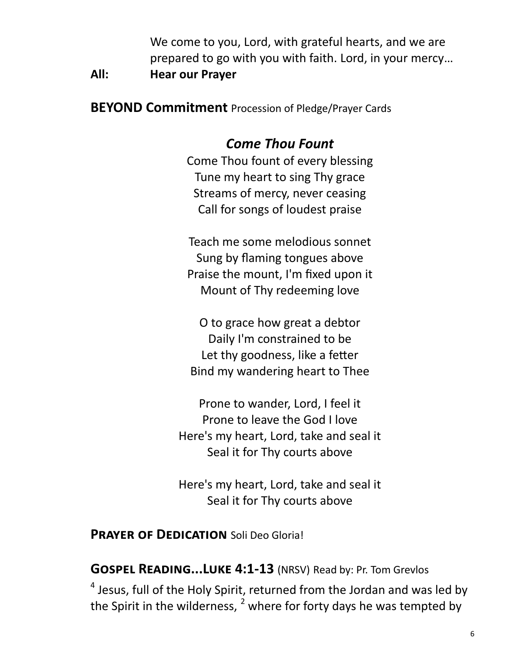We come to you, Lord, with grateful hearts, and we are prepared to go with you with faith. Lord, in your mercy…

**All: Hear our Prayer**

**BEYOND Commitment** Procession of Pledge/Prayer Cards

## *Come Thou Fount*

Come Thou fount of every blessing Tune my heart to sing Thy grace Streams of mercy, never ceasing Call for songs of loudest praise

Teach me some melodious sonnet Sung by flaming tongues above Praise the mount, I'm fixed upon it Mount of Thy redeeming love

O to grace how great a debtor Daily I'm constrained to be Let thy goodness, like a fetter Bind my wandering heart to Thee

Prone to wander, Lord, I feel it Prone to leave the God I love Here's my heart, Lord, take and seal it Seal it for Thy courts above

Here's my heart, Lord, take and seal it Seal it for Thy courts above

#### **PRAYER OF DEDICATION** Soli Deo Gloria!

**Gospel Reading...Luke 4:1-13** (NRSV) Read by: Pr. Tom Grevlos

 $<sup>4</sup>$  Jesus, full of the Holy Spirit, returned from the Jordan and was led by</sup> the Spirit in the wilderness,  $<sup>2</sup>$  where for forty days he was tempted by</sup>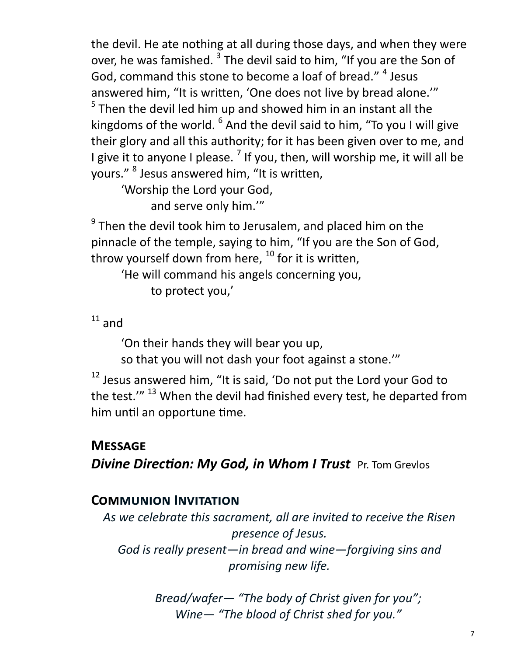the devil. He ate nothing at all during those days, and when they were over, he was famished. <sup>3</sup> The devil said to him, "If you are the Son of God, command this stone to become a loaf of bread." <sup>4</sup> Jesus answered him, "It is written, 'One does not live by bread alone.'"  $<sup>5</sup>$  Then the devil led him up and showed him in an instant all the</sup> kingdoms of the world. <sup>6</sup> And the devil said to him, "To you I will give their glory and all this authority; for it has been given over to me, and I give it to anyone I please. <sup>7</sup> If you, then, will worship me, it will all be yours." <sup>8</sup> Jesus answered him, "It is written,

'Worship the Lord your God, and serve only him.'"

 $^{9}$  Then the devil took him to Jerusalem, and placed him on the pinnacle of the temple, saying to him, "If you are the Son of God, throw yourself down from here,  $^{10}$  for it is written,

'He will command his angels concerning you, to protect you,'

 $11$  and

'On their hands they will bear you up,

so that you will not dash your foot against a stone.'"

 $12$  Jesus answered him, "It is said, 'Do not put the Lord your God to the test."<sup>13</sup> When the devil had finished every test, he departed from him until an opportune time.

## **Message**

*Divine Direction: My God, in Whom I Trust* Pr. Tom Grevlos

## **Communion Invitation**

*As we celebrate this sacrament, all are invited to receive the Risen presence of Jesus. God is really present—in bread and wine—forgiving sins and promising new life.* 

> *Bread/wafer— "The body of Christ given for you"; Wine— "The blood of Christ shed for you."*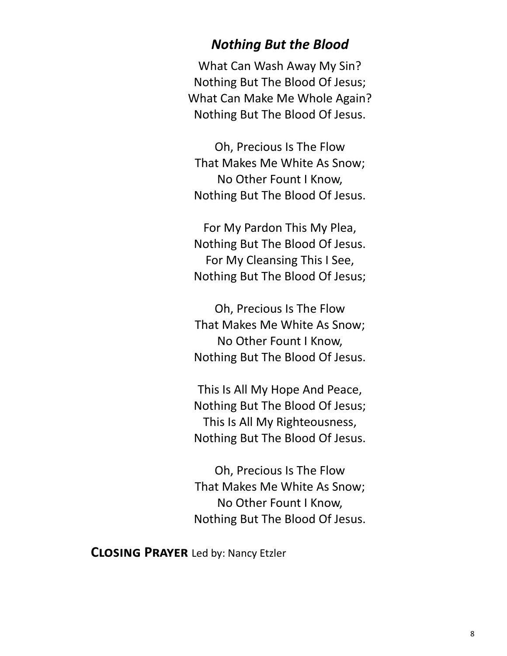#### *Nothing But the Blood*

What Can Wash Away My Sin? Nothing But The Blood Of Jesus; What Can Make Me Whole Again? Nothing But The Blood Of Jesus.

Oh, Precious Is The Flow That Makes Me White As Snow; No Other Fount I Know, Nothing But The Blood Of Jesus.

For My Pardon This My Plea, Nothing But The Blood Of Jesus. For My Cleansing This I See, Nothing But The Blood Of Jesus;

Oh, Precious Is The Flow That Makes Me White As Snow; No Other Fount I Know, Nothing But The Blood Of Jesus.

This Is All My Hope And Peace, Nothing But The Blood Of Jesus; This Is All My Righteousness, Nothing But The Blood Of Jesus.

Oh, Precious Is The Flow That Makes Me White As Snow; No Other Fount I Know, Nothing But The Blood Of Jesus.

**Closing Prayer** Led by: Nancy Etzler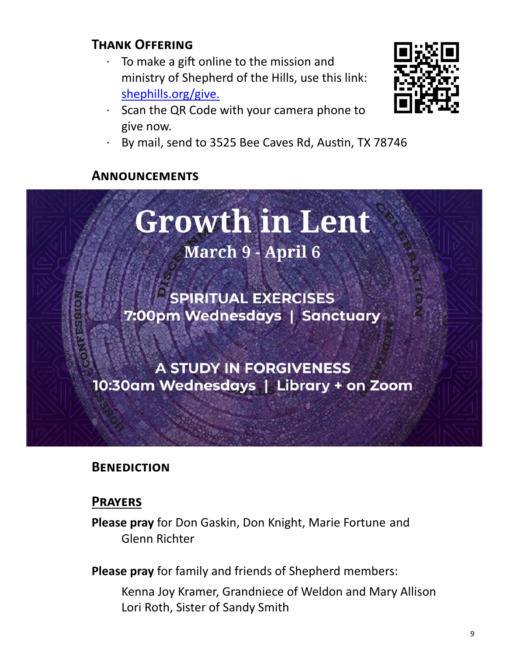## **Thank Offering**

- To make a gift online to the mission and ministry of Shepherd of the Hills, use this link: [shephills.org/give.](https://shephills.org/give/)
- · Scan the QR Code with your camera phone to give now.



By mail, send to 3525 Bee Caves Rd, Austin, TX 78746

#### **Announcements**



#### **Benediction**

#### **Prayers**

**Please pray** for Don Gaskin, Don Knight, Marie Fortune and Glenn Richter

**Please pray** for family and friends of Shepherd members:

Kenna Joy Kramer, Grandniece of Weldon and Mary Allison Lori Roth, Sister of Sandy Smith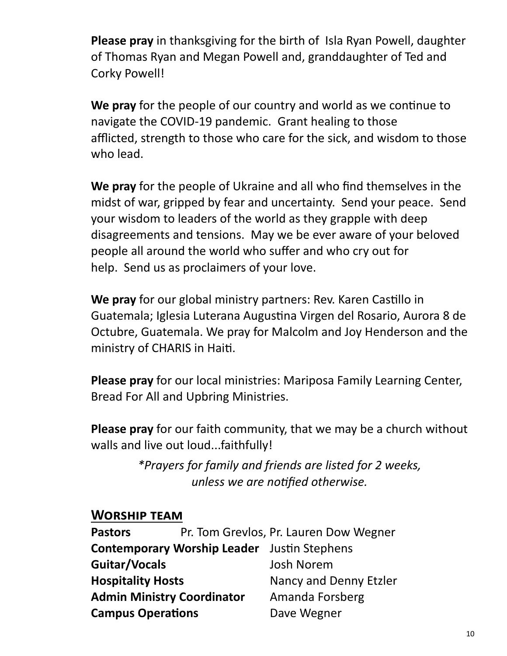**Please pray** in thanksgiving for the birth of Isla Ryan Powell, daughter of Thomas Ryan and Megan Powell and, granddaughter of Ted and Corky Powell!

**We pray** for the people of our country and world as we continue to navigate the COVID-19 pandemic. Grant healing to those afflicted, strength to those who care for the sick, and wisdom to those who lead.

**We pray** for the people of Ukraine and all who find themselves in the midst of war, gripped by fear and uncertainty. Send your peace. Send your wisdom to leaders of the world as they grapple with deep disagreements and tensions. May we be ever aware of your beloved people all around the world who suffer and who cry out for help. Send us as proclaimers of your love.

**We pray** for our global ministry partners: Rev. Karen Castillo in Guatemala; Iglesia Luterana Augustina Virgen del Rosario, Aurora 8 de Octubre, Guatemala. We pray for Malcolm and Joy Henderson and the ministry of CHARIS in Haiti.

**Please pray** for our local ministries: Mariposa Family Learning Center, Bread For All and Upbring Ministries.

**Please pray** for our faith community, that we may be a church without walls and live out loud...faithfully!

> *\*Prayers for family and friends are listed for 2 weeks, unless we are notified otherwise.*

#### **Worship team**

| <b>Pastors</b>                    |                                                    | Pr. Tom Grevlos, Pr. Lauren Dow Wegner |
|-----------------------------------|----------------------------------------------------|----------------------------------------|
|                                   | <b>Contemporary Worship Leader</b> Justin Stephens |                                        |
| Guitar/Vocals                     |                                                    | <b>Josh Norem</b>                      |
| <b>Hospitality Hosts</b>          |                                                    | Nancy and Denny Etzler                 |
| <b>Admin Ministry Coordinator</b> |                                                    | Amanda Forsberg                        |
| <b>Campus Operations</b>          |                                                    | Dave Wegner                            |